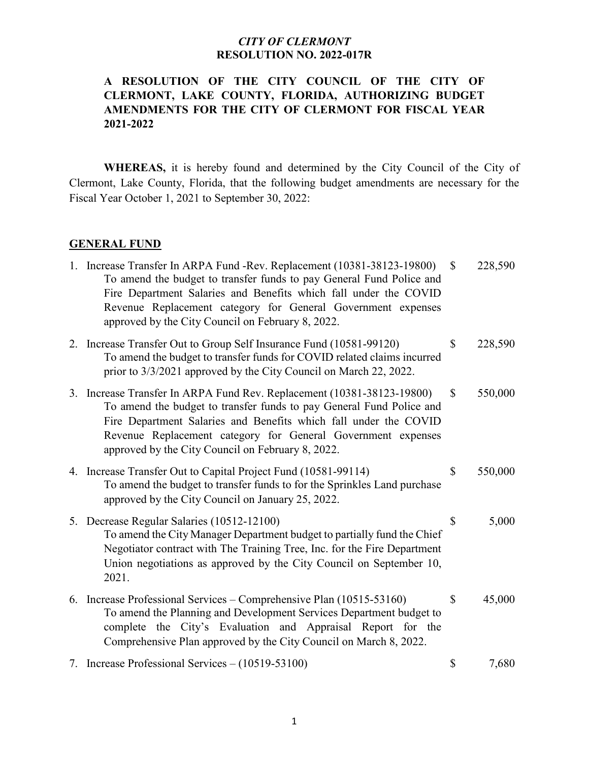### **A RESOLUTION OF THE CITY COUNCIL OF THE CITY OF CLERMONT, LAKE COUNTY, FLORIDA, AUTHORIZING BUDGET AMENDMENTS FOR THE CITY OF CLERMONT FOR FISCAL YEAR 2021-2022**

**WHEREAS,** it is hereby found and determined by the City Council of the City of Clermont, Lake County, Florida, that the following budget amendments are necessary for the Fiscal Year October 1, 2021 to September 30, 2022:

#### **GENERAL FUND**

| 1. Increase Transfer In ARPA Fund -Rev. Replacement (10381-38123-19800)<br>To amend the budget to transfer funds to pay General Fund Police and<br>Fire Department Salaries and Benefits which fall under the COVID<br>Revenue Replacement category for General Government expenses<br>approved by the City Council on February 8, 2022. | $\mathcal{S}$ | 228,590 |
|------------------------------------------------------------------------------------------------------------------------------------------------------------------------------------------------------------------------------------------------------------------------------------------------------------------------------------------|---------------|---------|
| 2. Increase Transfer Out to Group Self Insurance Fund (10581-99120)<br>To amend the budget to transfer funds for COVID related claims incurred<br>prior to 3/3/2021 approved by the City Council on March 22, 2022.                                                                                                                      | \$            | 228,590 |
| 3. Increase Transfer In ARPA Fund Rev. Replacement (10381-38123-19800)<br>To amend the budget to transfer funds to pay General Fund Police and<br>Fire Department Salaries and Benefits which fall under the COVID<br>Revenue Replacement category for General Government expenses<br>approved by the City Council on February 8, 2022.  | \$            | 550,000 |
| 4. Increase Transfer Out to Capital Project Fund (10581-99114)<br>To amend the budget to transfer funds to for the Sprinkles Land purchase<br>approved by the City Council on January 25, 2022.                                                                                                                                          | $\mathbb{S}$  | 550,000 |
| 5. Decrease Regular Salaries (10512-12100)<br>To amend the City Manager Department budget to partially fund the Chief<br>Negotiator contract with The Training Tree, Inc. for the Fire Department<br>Union negotiations as approved by the City Council on September 10,<br>2021.                                                        | \$            | 5,000   |
| 6. Increase Professional Services - Comprehensive Plan (10515-53160)<br>To amend the Planning and Development Services Department budget to<br>complete the City's Evaluation and Appraisal Report for the<br>Comprehensive Plan approved by the City Council on March 8, 2022.                                                          | \$            | 45,000  |
| 7. Increase Professional Services – (10519-53100)                                                                                                                                                                                                                                                                                        | \$            | 7,680   |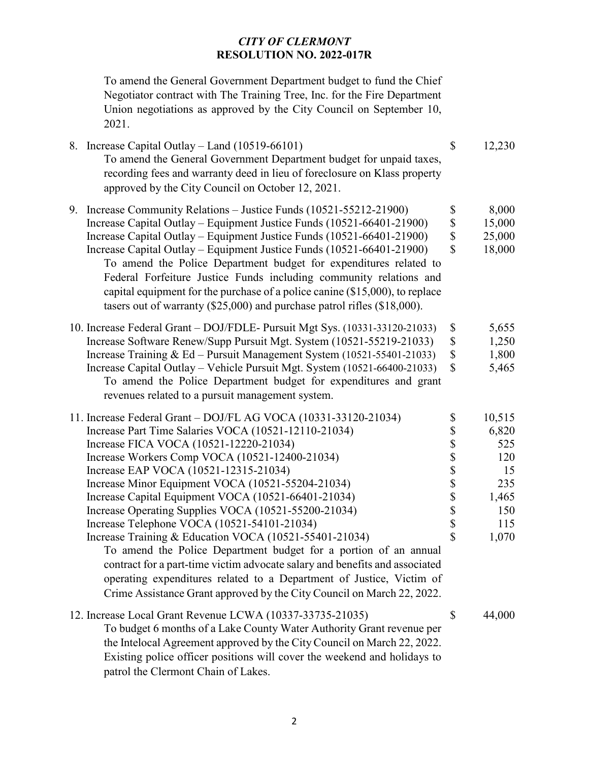To amend the General Government Department budget to fund the Chief Negotiator contract with The Training Tree, Inc. for the Fire Department Union negotiations as approved by the City Council on September 10, 2021.

| 8. Increase Capital Outlay - Land (10519-66101)<br>To amend the General Government Department budget for unpaid taxes,<br>recording fees and warranty deed in lieu of foreclosure on Klass property<br>approved by the City Council on October 12, 2021.                                                                                                                                                                                                                                                                                                                                                                                                                                                                                                                                                                                       | $\mathbb{S}$                                                     | 12,230                                                                     |
|------------------------------------------------------------------------------------------------------------------------------------------------------------------------------------------------------------------------------------------------------------------------------------------------------------------------------------------------------------------------------------------------------------------------------------------------------------------------------------------------------------------------------------------------------------------------------------------------------------------------------------------------------------------------------------------------------------------------------------------------------------------------------------------------------------------------------------------------|------------------------------------------------------------------|----------------------------------------------------------------------------|
| 9. Increase Community Relations - Justice Funds (10521-55212-21900)<br>Increase Capital Outlay – Equipment Justice Funds (10521-66401-21900)<br>Increase Capital Outlay – Equipment Justice Funds (10521-66401-21900)<br>Increase Capital Outlay - Equipment Justice Funds (10521-66401-21900)<br>To amend the Police Department budget for expenditures related to<br>Federal Forfeiture Justice Funds including community relations and<br>capital equipment for the purchase of a police canine $(\$15,000)$ , to replace                                                                                                                                                                                                                                                                                                                   | \$<br>\$<br>$\boldsymbol{\mathsf{S}}$<br>$\overline{\mathbb{S}}$ | 8,000<br>15,000<br>25,000<br>18,000                                        |
| tasers out of warranty (\$25,000) and purchase patrol rifles (\$18,000).<br>10. Increase Federal Grant - DOJ/FDLE- Pursuit Mgt Sys. (10331-33120-21033)<br>Increase Software Renew/Supp Pursuit Mgt. System (10521-55219-21033)                                                                                                                                                                                                                                                                                                                                                                                                                                                                                                                                                                                                                | \$<br>$\$$                                                       | 5,655<br>1,250                                                             |
| Increase Training & Ed – Pursuit Management System $(10521 - 55401 - 21033)$<br>Increase Capital Outlay - Vehicle Pursuit Mgt. System (10521-66400-21033)<br>To amend the Police Department budget for expenditures and grant<br>revenues related to a pursuit management system.                                                                                                                                                                                                                                                                                                                                                                                                                                                                                                                                                              | $\boldsymbol{\mathsf{S}}$<br>$\mathbb{S}$                        | 1,800<br>5,465                                                             |
| 11. Increase Federal Grant - DOJ/FL AG VOCA (10331-33120-21034)<br>Increase Part Time Salaries VOCA (10521-12110-21034)<br>Increase FICA VOCA (10521-12220-21034)<br>Increase Workers Comp VOCA (10521-12400-21034)<br>Increase EAP VOCA (10521-12315-21034)<br>Increase Minor Equipment VOCA (10521-55204-21034)<br>Increase Capital Equipment VOCA (10521-66401-21034)<br>Increase Operating Supplies VOCA (10521-55200-21034)<br>Increase Telephone VOCA (10521-54101-21034)<br>Increase Training & Education VOCA (10521-55401-21034)<br>To amend the Police Department budget for a portion of an annual<br>contract for a part-time victim advocate salary and benefits and associated<br>operating expenditures related to a Department of Justice, Victim of<br>Crime Assistance Grant approved by the City Council on March 22, 2022. | \$<br>\$<br>SSSSSSS<br>$\overline{\mathbf{S}}$                   | 10,515<br>6,820<br>525<br>120<br>15<br>235<br>1,465<br>150<br>115<br>1,070 |
| 12. Increase Local Grant Revenue LCWA (10337-33735-21035)<br>To budget 6 months of a Lake County Water Authority Grant revenue per<br>the Intelocal Agreement approved by the City Council on March 22, 2022.<br>Existing police officer positions will cover the weekend and holidays to                                                                                                                                                                                                                                                                                                                                                                                                                                                                                                                                                      | \$                                                               | 44,000                                                                     |

patrol the Clermont Chain of Lakes.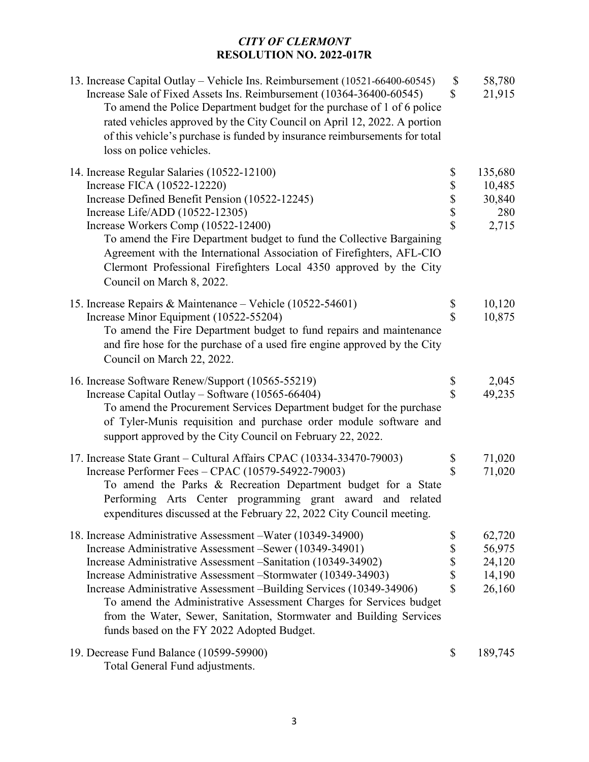| 13. Increase Capital Outlay – Vehicle Ins. Reimbursement (10521-66400-60545)<br>Increase Sale of Fixed Assets Ins. Reimbursement (10364-36400-60545)<br>To amend the Police Department budget for the purchase of 1 of 6 police<br>rated vehicles approved by the City Council on April 12, 2022. A portion<br>of this vehicle's purchase is funded by insurance reimbursements for total<br>loss on police vehicles.                                                                                                       | $\boldsymbol{\mathsf{S}}$<br>$\mathcal{S}$ | 58,780<br>21,915                               |
|-----------------------------------------------------------------------------------------------------------------------------------------------------------------------------------------------------------------------------------------------------------------------------------------------------------------------------------------------------------------------------------------------------------------------------------------------------------------------------------------------------------------------------|--------------------------------------------|------------------------------------------------|
| 14. Increase Regular Salaries (10522-12100)<br>Increase FICA (10522-12220)<br>Increase Defined Benefit Pension (10522-12245)<br>Increase Life/ADD (10522-12305)<br>Increase Workers Comp (10522-12400)<br>To amend the Fire Department budget to fund the Collective Bargaining<br>Agreement with the International Association of Firefighters, AFL-CIO<br>Clermont Professional Firefighters Local 4350 approved by the City<br>Council on March 8, 2022.                                                                 | \$<br>\$\$\$<br>$\overline{\mathbb{S}}$    | 135,680<br>10,485<br>30,840<br>280<br>2,715    |
| 15. Increase Repairs & Maintenance – Vehicle (10522-54601)<br>Increase Minor Equipment (10522-55204)<br>To amend the Fire Department budget to fund repairs and maintenance<br>and fire hose for the purchase of a used fire engine approved by the City<br>Council on March 22, 2022.                                                                                                                                                                                                                                      | \$<br>\$                                   | 10,120<br>10,875                               |
| 16. Increase Software Renew/Support (10565-55219)<br>Increase Capital Outlay - Software (10565-66404)<br>To amend the Procurement Services Department budget for the purchase<br>of Tyler-Munis requisition and purchase order module software and<br>support approved by the City Council on February 22, 2022.                                                                                                                                                                                                            | $\frac{1}{3}$                              | 2,045<br>49,235                                |
| 17. Increase State Grant – Cultural Affairs CPAC (10334-33470-79003)<br>Increase Performer Fees - CPAC (10579-54922-79003)<br>To amend the Parks & Recreation Department budget for a State<br>Performing Arts Center programming grant award and related<br>expenditures discussed at the February 22, 2022 City Council meeting.                                                                                                                                                                                          | \$<br>$\overline{\mathbf{S}}$              | 71,020<br>71,020                               |
| 18. Increase Administrative Assessment – Water (10349-34900)<br>Increase Administrative Assessment – Sewer (10349-34901)<br>Increase Administrative Assessment -Sanitation (10349-34902)<br>Increase Administrative Assessment – Stormwater (10349-34903)<br>Increase Administrative Assessment –Building Services (10349-34906)<br>To amend the Administrative Assessment Charges for Services budget<br>from the Water, Sewer, Sanitation, Stormwater and Building Services<br>funds based on the FY 2022 Adopted Budget. | \$<br>\$<br>\$<br>\$<br>\$                 | 62,720<br>56,975<br>24,120<br>14,190<br>26,160 |
| 19. Decrease Fund Balance (10599-59900)<br>Total General Fund adjustments.                                                                                                                                                                                                                                                                                                                                                                                                                                                  | \$                                         | 189,745                                        |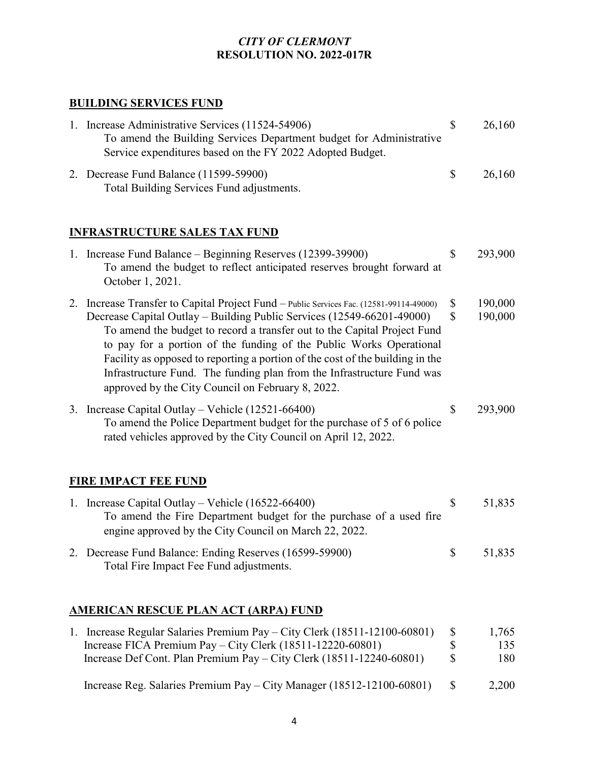# **BUILDING SERVICES FUND**

| 1. Increase Administrative Services (11524-54906)<br>To amend the Building Services Department budget for Administrative<br>Service expenditures based on the FY 2022 Adopted Budget.                                                                                                                                                                                                                                                                                                                                                | \$             | 26,160              |
|--------------------------------------------------------------------------------------------------------------------------------------------------------------------------------------------------------------------------------------------------------------------------------------------------------------------------------------------------------------------------------------------------------------------------------------------------------------------------------------------------------------------------------------|----------------|---------------------|
| 2. Decrease Fund Balance (11599-59900)<br>Total Building Services Fund adjustments.                                                                                                                                                                                                                                                                                                                                                                                                                                                  | \$             | 26,160              |
| <b>INFRASTRUCTURE SALES TAX FUND</b>                                                                                                                                                                                                                                                                                                                                                                                                                                                                                                 |                |                     |
| 1. Increase Fund Balance – Beginning Reserves (12399-39900)<br>To amend the budget to reflect anticipated reserves brought forward at<br>October 1, 2021.                                                                                                                                                                                                                                                                                                                                                                            | \$             | 293,900             |
| 2. Increase Transfer to Capital Project Fund - Public Services Fac. (12581-99114-49000)<br>Decrease Capital Outlay – Building Public Services (12549-66201-49000)<br>To amend the budget to record a transfer out to the Capital Project Fund<br>to pay for a portion of the funding of the Public Works Operational<br>Facility as opposed to reporting a portion of the cost of the building in the<br>Infrastructure Fund. The funding plan from the Infrastructure Fund was<br>approved by the City Council on February 8, 2022. | \$<br>\$       | 190,000<br>190,000  |
| 3. Increase Capital Outlay - Vehicle (12521-66400)<br>To amend the Police Department budget for the purchase of 5 of 6 police<br>rated vehicles approved by the City Council on April 12, 2022.                                                                                                                                                                                                                                                                                                                                      | \$             | 293,900             |
| <b>FIRE IMPACT FEE FUND</b>                                                                                                                                                                                                                                                                                                                                                                                                                                                                                                          |                |                     |
| 1. Increase Capital Outlay – Vehicle (16522-66400)<br>To amend the Fire Department budget for the purchase of a used fire<br>engine approved by the City Council on March 22, 2022.                                                                                                                                                                                                                                                                                                                                                  | \$             | 51,835              |
| 2. Decrease Fund Balance: Ending Reserves (16599-59900)<br>Total Fire Impact Fee Fund adjustments.                                                                                                                                                                                                                                                                                                                                                                                                                                   | \$             | 51,835              |
| <u>AMERICAN RESCUE PLAN ACT (ARPA) FUND</u>                                                                                                                                                                                                                                                                                                                                                                                                                                                                                          |                |                     |
| 1. Increase Regular Salaries Premium Pay – City Clerk (18511-12100-60801)<br>Increase FICA Premium Pay - City Clerk (18511-12220-60801)<br>Increase Def Cont. Plan Premium Pay - City Clerk (18511-12240-60801)                                                                                                                                                                                                                                                                                                                      | \$<br>\$<br>\$ | 1,765<br>135<br>180 |
| Increase Reg. Salaries Premium Pay - City Manager (18512-12100-60801)                                                                                                                                                                                                                                                                                                                                                                                                                                                                | \$             | 2,200               |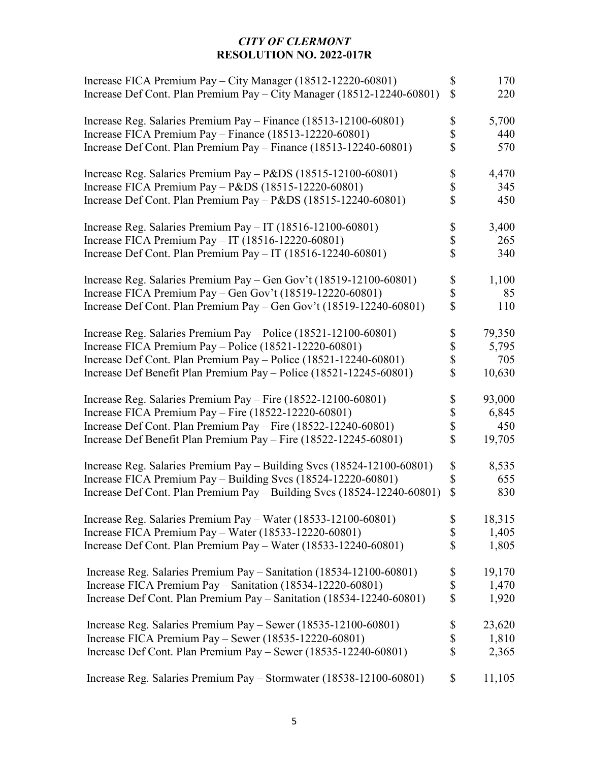| Increase FICA Premium Pay - City Manager (18512-12220-60801)<br>Increase Def Cont. Plan Premium Pay - City Manager (18512-12240-60801) | \$<br>$\mathsf{\$}$       | 170<br>220 |
|----------------------------------------------------------------------------------------------------------------------------------------|---------------------------|------------|
| Increase Reg. Salaries Premium Pay - Finance (18513-12100-60801)                                                                       | \$                        | 5,700      |
| Increase FICA Premium Pay - Finance (18513-12220-60801)                                                                                | \$                        | 440        |
| Increase Def Cont. Plan Premium Pay – Finance (18513-12240-60801)                                                                      | \$                        | 570        |
| Increase Reg. Salaries Premium Pay - P&DS (18515-12100-60801)                                                                          | \$                        | 4,470      |
| Increase FICA Premium Pay - $P&DS(18515-12220-60801)$                                                                                  | \$                        | 345        |
| Increase Def Cont. Plan Premium Pay - P&DS (18515-12240-60801)                                                                         | \$                        | 450        |
| Increase Reg. Salaries Premium Pay - IT (18516-12100-60801)                                                                            | $\boldsymbol{\$}$         | 3,400      |
| Increase FICA Premium Pay - IT (18516-12220-60801)                                                                                     | \$                        | 265        |
| Increase Def Cont. Plan Premium Pay - IT (18516-12240-60801)                                                                           | \$                        | 340        |
| Increase Reg. Salaries Premium Pay – Gen Gov't (18519-12100-60801)                                                                     | $\frac{1}{3}$             | 1,100      |
| Increase FICA Premium Pay - Gen Gov't (18519-12220-60801)                                                                              |                           | 85         |
| Increase Def Cont. Plan Premium Pay – Gen Gov't (18519-12240-60801)                                                                    | \$                        | 110        |
| Increase Reg. Salaries Premium Pay - Police (18521-12100-60801)                                                                        | \$                        | 79,350     |
| Increase FICA Premium Pay - Police (18521-12220-60801)                                                                                 | $\frac{1}{3}$             | 5,795      |
| Increase Def Cont. Plan Premium Pay - Police (18521-12240-60801)                                                                       |                           | 705        |
| Increase Def Benefit Plan Premium Pay – Police (18521-12245-60801)                                                                     | \$                        | 10,630     |
| Increase Reg. Salaries Premium Pay - Fire (18522-12100-60801)                                                                          | \$                        | 93,000     |
| Increase FICA Premium Pay - Fire $(18522-12220-60801)$                                                                                 | $\frac{1}{3}$             | 6,845      |
| Increase Def Cont. Plan Premium Pay - Fire (18522-12240-60801)                                                                         |                           | 450        |
| Increase Def Benefit Plan Premium Pay – Fire (18522-12245-60801)                                                                       | $\overline{\mathbb{S}}$   | 19,705     |
| Increase Reg. Salaries Premium Pay - Building Svcs (18524-12100-60801)                                                                 | \$                        | 8,535      |
| Increase FICA Premium Pay - Building Svcs (18524-12220-60801)                                                                          | \$                        | 655        |
| Increase Def Cont. Plan Premium Pay - Building Svcs (18524-12240-60801)                                                                | $\mathbf S$               | 830        |
| Increase Reg. Salaries Premium Pay - Water (18533-12100-60801)                                                                         | \$                        | 18,315     |
| Increase FICA Premium Pay - Water $(18533 - 12220 - 60801)$                                                                            | \$                        | 1,405      |
| Increase Def Cont. Plan Premium Pay - Water (18533-12240-60801)                                                                        | \$                        | 1,805      |
| Increase Reg. Salaries Premium Pay - Sanitation (18534-12100-60801)                                                                    | \$                        | 19,170     |
| Increase FICA Premium Pay - Sanitation (18534-12220-60801)                                                                             | $\boldsymbol{\mathsf{S}}$ | 1,470      |
| Increase Def Cont. Plan Premium Pay - Sanitation (18534-12240-60801)                                                                   | \$                        | 1,920      |
| Increase Reg. Salaries Premium Pay - Sewer (18535-12100-60801)                                                                         | \$                        | 23,620     |
| Increase FICA Premium Pay – Sewer $(18535-12220-60801)$                                                                                | \$                        | 1,810      |
| Increase Def Cont. Plan Premium Pay – Sewer (18535-12240-60801)                                                                        | \$                        | 2,365      |
| Increase Reg. Salaries Premium Pay - Stormwater (18538-12100-60801)                                                                    | \$                        | 11,105     |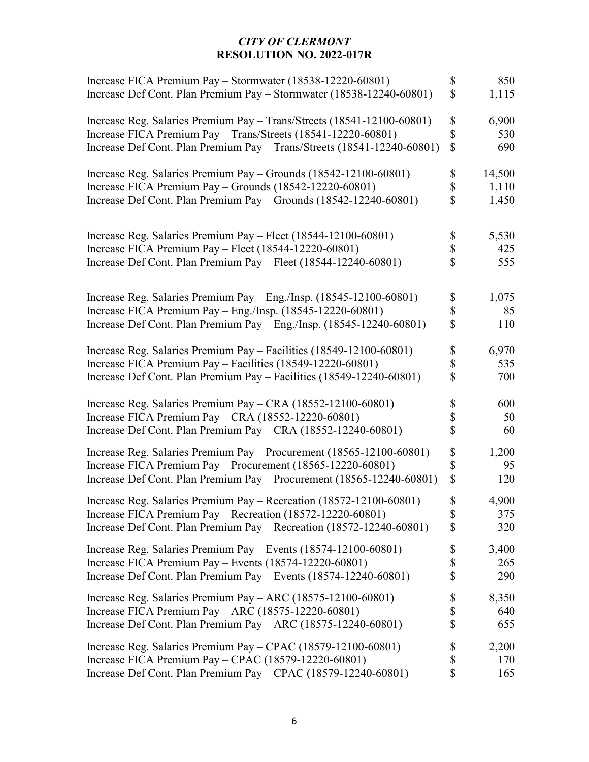| Increase FICA Premium Pay - Stormwater (18538-12220-60801)<br>Increase Def Cont. Plan Premium Pay - Stormwater (18538-12240-60801) | \$<br>$\mathsf{\$}$       | 850<br>1,115 |
|------------------------------------------------------------------------------------------------------------------------------------|---------------------------|--------------|
| Increase Reg. Salaries Premium Pay - Trans/Streets (18541-12100-60801)                                                             | \$                        | 6,900        |
| Increase FICA Premium Pay - Trans/Streets (18541-12220-60801)                                                                      | \$                        | 530          |
| Increase Def Cont. Plan Premium Pay - Trans/Streets (18541-12240-60801)                                                            | \$                        | 690          |
| Increase Reg. Salaries Premium Pay - Grounds (18542-12100-60801)                                                                   | \$                        | 14,500       |
| Increase FICA Premium Pay - Grounds (18542-12220-60801)                                                                            | \$                        | 1,110        |
| Increase Def Cont. Plan Premium Pay – Grounds (18542-12240-60801)                                                                  | \$                        | 1,450        |
| Increase Reg. Salaries Premium Pay - Fleet (18544-12100-60801)                                                                     | \$                        | 5,530        |
| Increase FICA Premium Pay - Fleet (18544-12220-60801)                                                                              | \$                        | 425          |
| Increase Def Cont. Plan Premium Pay - Fleet (18544-12240-60801)                                                                    | \$                        | 555          |
| Increase Reg. Salaries Premium Pay – Eng./Insp. (18545-12100-60801)                                                                | \$                        | 1,075        |
| Increase FICA Premium Pay - Eng./Insp. (18545-12220-60801)                                                                         | \$                        | 85           |
| Increase Def Cont. Plan Premium Pay - Eng./Insp. $(18545-12240-60801)$                                                             | \$                        | 110          |
| Increase Reg. Salaries Premium Pay - Facilities (18549-12100-60801)                                                                | \$                        | 6,970        |
| Increase FICA Premium Pay - Facilities (18549-12220-60801)                                                                         | \$                        | 535          |
| Increase Def Cont. Plan Premium Pay - Facilities (18549-12240-60801)                                                               | \$                        | 700          |
| Increase Reg. Salaries Premium Pay – CRA (18552-12100-60801)                                                                       | \$                        | 600          |
| Increase FICA Premium Pay - CRA (18552-12220-60801)                                                                                | \$                        | 50           |
| Increase Def Cont. Plan Premium Pay - CRA (18552-12240-60801)                                                                      | \$                        | 60           |
| Increase Reg. Salaries Premium Pay - Procurement (18565-12100-60801)                                                               | \$                        | 1,200        |
| Increase FICA Premium Pay - Procurement (18565-12220-60801)                                                                        | \$                        | 95           |
| Increase Def Cont. Plan Premium Pay - Procurement (18565-12240-60801)                                                              | $\boldsymbol{\mathsf{S}}$ | 120          |
| Increase Reg. Salaries Premium Pay - Recreation (18572-12100-60801)                                                                | \$                        | 4,900        |
| Increase FICA Premium Pay – Recreation (18572-12220-60801)                                                                         | \$                        | 375          |
| Increase Def Cont. Plan Premium Pay – Recreation (18572-12240-60801)                                                               | \$                        | 320          |
| Increase Reg. Salaries Premium Pay - Events (18574-12100-60801)                                                                    | \$                        | 3,400        |
| Increase FICA Premium Pay – Events $(18574 - 12220 - 60801)$                                                                       | \$                        | 265          |
| Increase Def Cont. Plan Premium Pay - Events (18574-12240-60801)                                                                   | \$                        | 290          |
| Increase Reg. Salaries Premium Pay - ARC (18575-12100-60801)                                                                       | \$                        | 8,350        |
| Increase FICA Premium Pay - ARC (18575-12220-60801)                                                                                | \$                        | 640          |
| Increase Def Cont. Plan Premium Pay - ARC (18575-12240-60801)                                                                      | \$                        | 655          |
| Increase Reg. Salaries Premium Pay - CPAC (18579-12100-60801)                                                                      | \$                        | 2,200        |
| Increase FICA Premium Pay - CPAC (18579-12220-60801)                                                                               | \$                        | 170          |
| Increase Def Cont. Plan Premium Pay - CPAC (18579-12240-60801)                                                                     | \$                        | 165          |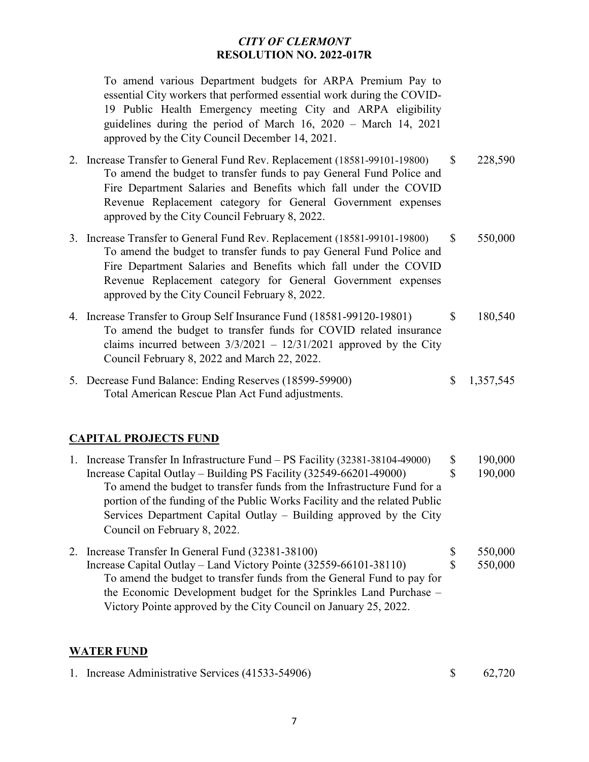To amend various Department budgets for ARPA Premium Pay to essential City workers that performed essential work during the COVID-19 Public Health Emergency meeting City and ARPA eligibility guidelines during the period of March 16, 2020 – March 14, 2021 approved by the City Council December 14, 2021.

- 2. Increase Transfer to General Fund Rev. Replacement (18581-99101-19800) \$ 228,590 To amend the budget to transfer funds to pay General Fund Police and Fire Department Salaries and Benefits which fall under the COVID Revenue Replacement category for General Government expenses approved by the City Council February 8, 2022.
- 3. Increase Transfer to General Fund Rev. Replacement (18581-99101-19800) \$ 550,000 To amend the budget to transfer funds to pay General Fund Police and Fire Department Salaries and Benefits which fall under the COVID Revenue Replacement category for General Government expenses approved by the City Council February 8, 2022.
- 4. Increase Transfer to Group Self Insurance Fund (18581-99120-19801) \$ 180,540 To amend the budget to transfer funds for COVID related insurance claims incurred between  $3/3/2021 - 12/31/2021$  approved by the City Council February 8, 2022 and March 22, 2022.
- 5. Decrease Fund Balance: Ending Reserves (18599-59900) \$ 1,357,545 Total American Rescue Plan Act Fund adjustments.

## **CAPITAL PROJECTS FUND**

- 1. Increase Transfer In Infrastructure Fund PS Facility (32381-38104-49000) \$ 190,000 Increase Capital Outlay – Building PS Facility (32549-66201-49000) \$ 190,000 To amend the budget to transfer funds from the Infrastructure Fund for a portion of the funding of the Public Works Facility and the related Public Services Department Capital Outlay – Building approved by the City Council on February 8, 2022.
- 2. Increase Transfer In General Fund (32381-38100) \$ 550,000 Increase Capital Outlay – Land Victory Pointe (32559-66101-38110) \$ 550,000 To amend the budget to transfer funds from the General Fund to pay for the Economic Development budget for the Sprinkles Land Purchase – Victory Pointe approved by the City Council on January 25, 2022.

#### **WATER FUND**

|  | 1. Increase Administrative Services (41533-54906) |  | 62,720 |
|--|---------------------------------------------------|--|--------|
|--|---------------------------------------------------|--|--------|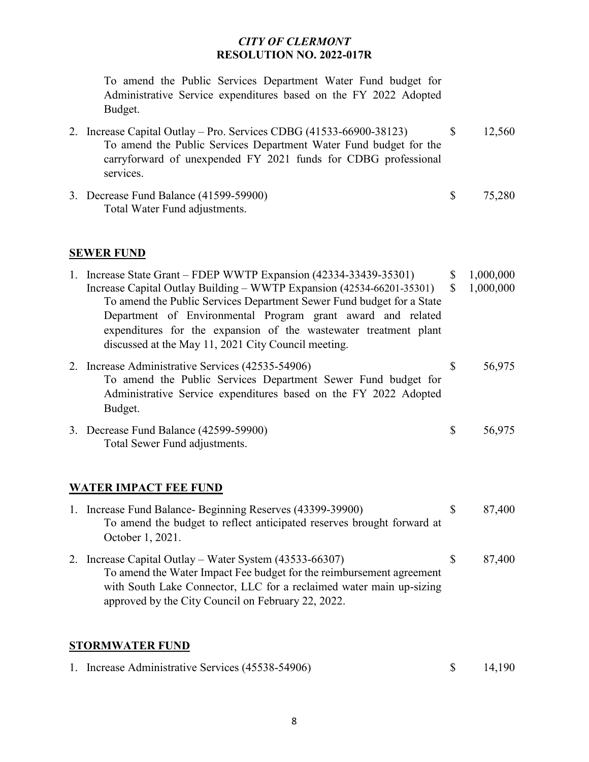To amend the Public Services Department Water Fund budget for Administrative Service expenditures based on the FY 2022 Adopted Budget.

- 2. Increase Capital Outlay Pro. Services CDBG (41533-66900-38123) \$ 12,560 To amend the Public Services Department Water Fund budget for the carryforward of unexpended FY 2021 funds for CDBG professional services.
- 3. Decrease Fund Balance (41599-59900) \$ 75,280 Total Water Fund adjustments.

#### **SEWER FUND**

| 1. Increase State Grant – FDEP WWTP Expansion (42334-33439-35301)                                                                                                                                                                                                                                                                        | \$<br>1,000,000 |
|------------------------------------------------------------------------------------------------------------------------------------------------------------------------------------------------------------------------------------------------------------------------------------------------------------------------------------------|-----------------|
| Increase Capital Outlay Building – WWTP Expansion (42534-66201-35301)<br>To amend the Public Services Department Sewer Fund budget for a State<br>Department of Environmental Program grant award and related<br>expenditures for the expansion of the wastewater treatment plant<br>discussed at the May 11, 2021 City Council meeting. | \$<br>1,000,000 |
| 2. Increase Administrative Services (42535-54906)<br>To amend the Public Services Department Sewer Fund budget for<br>Administrative Service expenditures based on the FY 2022 Adopted<br>Budget.                                                                                                                                        | \$<br>56,975    |
| 3. Decrease Fund Balance (42599-59900)<br>Total Sewer Fund adjustments.                                                                                                                                                                                                                                                                  | \$<br>56,975    |

#### **WATER IMPACT FEE FUND**

| 1. Increase Fund Balance- Beginning Reserves (43399-39900)             | S  | 87,400 |
|------------------------------------------------------------------------|----|--------|
| To amend the budget to reflect anticipated reserves brought forward at |    |        |
| October 1, 2021.                                                       |    |        |
| 2. Increase Capital Outlay – Water System (43533-66307)                | S. | 87,400 |
| To amend the Water Impact Fee budget for the reimbursement agreement   |    |        |
| with South Lake Connector, LLC for a reclaimed water main up-sizing    |    |        |
| approved by the City Council on February 22, 2022.                     |    |        |

#### **STORMWATER FUND**

| 1. Increase Administrative Services (45538-54906) | 14,190 |
|---------------------------------------------------|--------|
|                                                   |        |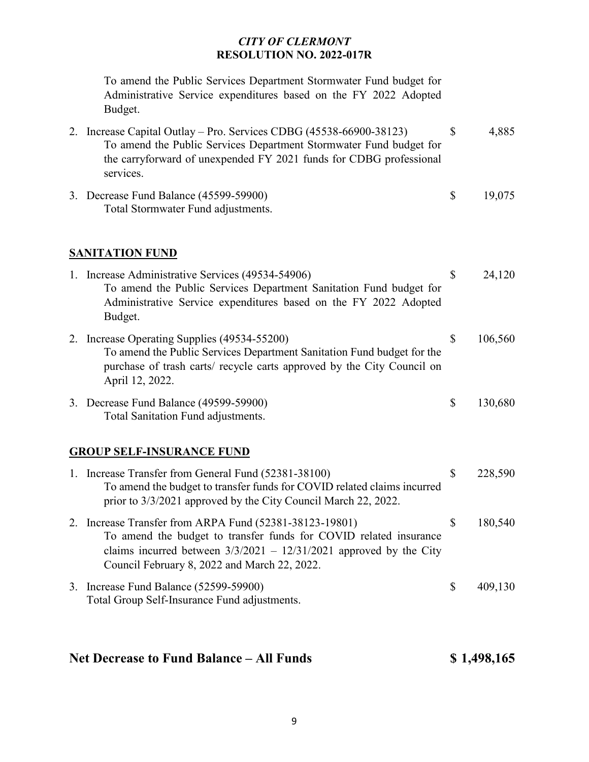To amend the Public Services Department Stormwater Fund budget for Administrative Service expenditures based on the FY 2022 Adopted Budget.

| 2. Increase Capital Outlay – Pro. Services CDBG (45538-66900-38123) | 4,885 |
|---------------------------------------------------------------------|-------|
| To amend the Public Services Department Stormwater Fund budget for  |       |
| the carryforward of unexpended FY 2021 funds for CDBG professional  |       |
| services.                                                           |       |

3. Decrease Fund Balance (45599-59900) \$ 19,075 Total Stormwater Fund adjustments.

### **SANITATION FUND**

|    | 1. Increase Administrative Services (49534-54906)                      | \$ | 24,120  |
|----|------------------------------------------------------------------------|----|---------|
|    | To amend the Public Services Department Sanitation Fund budget for     |    |         |
|    | Administrative Service expenditures based on the FY 2022 Adopted       |    |         |
|    | Budget.                                                                |    |         |
| 2. | Increase Operating Supplies (49534-55200)                              | S  | 106,560 |
|    | To amend the Public Services Department Sanitation Fund budget for the |    |         |
|    | purchase of trash carts/ recycle carts approved by the City Council on |    |         |
|    | April 12, 2022.                                                        |    |         |
|    | 3. Decrease Fund Balance (49599-59900)                                 | S  | 130,680 |
|    | Total Sanitation Fund adjustments.                                     |    |         |

#### **GROUP SELF-INSURANCE FUND**

| 1. Increase Transfer from General Fund (52381-38100)<br>To amend the budget to transfer funds for COVID related claims incurred<br>prior to 3/3/2021 approved by the City Council March 22, 2022.                                                    | S  | 228,590 |
|------------------------------------------------------------------------------------------------------------------------------------------------------------------------------------------------------------------------------------------------------|----|---------|
| 2. Increase Transfer from ARPA Fund (52381-38123-19801)<br>To amend the budget to transfer funds for COVID related insurance<br>claims incurred between $3/3/2021 - 12/31/2021$ approved by the City<br>Council February 8, 2022 and March 22, 2022. | Ÿ. | 180,540 |
| 3. Increase Fund Balance (52599-59900)<br>Total Group Self-Insurance Fund adjustments.                                                                                                                                                               | S  | 409,130 |

# **Net Decrease to Fund Balance – All Funds \$ 1,498,165**